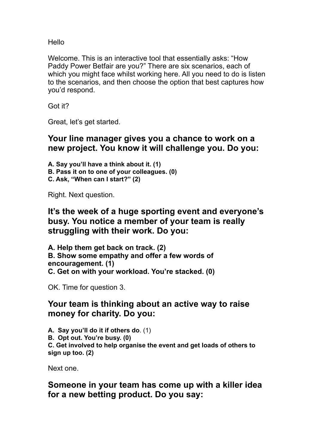Hello

Welcome. This is an interactive tool that essentially asks: "How Paddy Power Betfair are you?" There are six scenarios, each of which you might face whilst working here. All you need to do is listen to the scenarios, and then choose the option that best captures how you'd respond.

Got it?

Great, let's get started.

## **Your line manager gives you a chance to work on a new project. You know it will challenge you. Do you:**

**A. Say you'll have a think about it. (1) B. Pass it on to one of your colleagues. (0) C. Ask, "When can I start?" (2)**

Right. Next question.

## **It's the week of a huge sporting event and everyone's busy. You notice a member of your team is really struggling with their work. Do you:**

**A. Help them get back on track. (2) B. Show some empathy and offer a few words of encouragement. (1) C. Get on with your workload. You're stacked. (0)**

OK. Time for question 3.

## **Your team is thinking about an active way to raise money for charity. Do you:**

**A. Say you'll do it if others do**. (1) **B. Opt out. You're busy. (0) C. Get involved to help organise the event and get loads of others to sign up too. (2)**

Next one.

**Someone in your team has come up with a killer idea for a new betting product. Do you say:**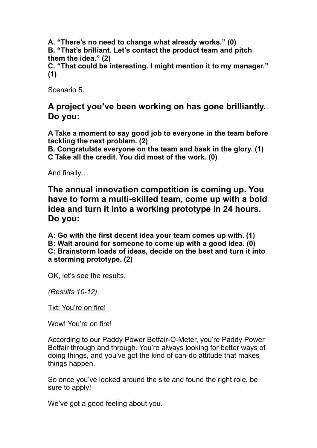**A. "There's no need to change what already works." (0) B. "That's brilliant. Let's contact the product team and pitch them the idea." (2) C. "That could be interesting. I might mention it to my manager."** 

Scenario 5.

**(1)**

**A project you've been working on has gone brilliantly. Do you:**

**A Take a moment to say good job to everyone in the team before tackling the next problem. (2)**

**B. Congratulate everyone on the team and bask in the glory. (1) C Take all the credit. You did most of the work. (0)**

And finally…

**The annual innovation competition is coming up. You have to form a multi-skilled team, come up with a bold idea and turn it into a working prototype in 24 hours. Do you:**

**A: Go with the first decent idea your team comes up with. (1) B: Wait around for someone to come up with a good idea. (0) C: Brainstorm loads of ideas, decide on the best and turn it into a storming prototype. (2)**

OK, let's see the results.

*(Results 10-12)*

Txt: You're on fire!

Wow! You're on fire!

According to our Paddy Power Betfair-O-Meter, you're Paddy Power Betfair through and through. You're always looking for better ways of doing things, and you've got the kind of can-do attitude that makes things happen.

So once you've looked around the site and found the right role, be sure to apply!

We've got a good feeling about you.